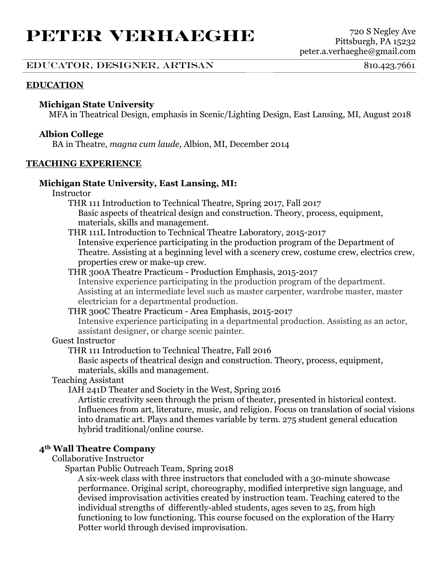# **PETER VERHAEGHE** <sup>720</sup> <sup>S</sup> Negley Ave

# EDUCATOR, DESIGNER, ARTISAN 810.423.7661

# **EDUCATION**

# **Michigan State University**

MFA in Theatrical Design, emphasis in Scenic/Lighting Design, East Lansing, MI, August 2018

# **Albion College**

BA in Theatre, *magna cum laude,* Albion, MI, December 2014

## **TEACHING EXPERIENCE**

## **Michigan State University, East Lansing, MI:**

Instructor

THR 111 Introduction to Technical Theatre, Spring 2017, Fall 2017 Basic aspects of theatrical design and construction. Theory, process, equipment, materials, skills and management.

THR 111L Introduction to Technical Theatre Laboratory, 2015-2017

Intensive experience participating in the production program of the Department of Theatre. Assisting at a beginning level with a scenery crew, costume crew, electrics crew, properties crew or make-up crew.

## THR 300A Theatre Practicum - Production Emphasis, 2015-2017

Intensive experience participating in the production program of the department. Assisting at an intermediate level such as master carpenter, wardrobe master, master electrician for a departmental production.

# THR 300C Theatre Practicum - Area Emphasis, 2015-2017

Intensive experience participating in a departmental production. Assisting as an actor, assistant designer, or charge scenic painter.

# Guest Instructor

THR 111 Introduction to Technical Theatre, Fall 2016

Basic aspects of theatrical design and construction. Theory, process, equipment, materials, skills and management.

#### Teaching Assistant

IAH 241D Theater and Society in the West, Spring 2016

Artistic creativity seen through the prism of theater, presented in historical context. Influences from art, literature, music, and religion. Focus on translation of social visions into dramatic art. Plays and themes variable by term. 275 student general education hybrid traditional/online course.

# **4th Wall Theatre Company**

Collaborative Instructor

Spartan Public Outreach Team, Spring 2018

A six-week class with three instructors that concluded with a 30-minute showcase performance. Original script, choreography, modified interpretive sign language, and devised improvisation activities created by instruction team. Teaching catered to the individual strengths of differently-abled students, ages seven to 25, from high functioning to low functioning. This course focused on the exploration of the Harry Potter world through devised improvisation.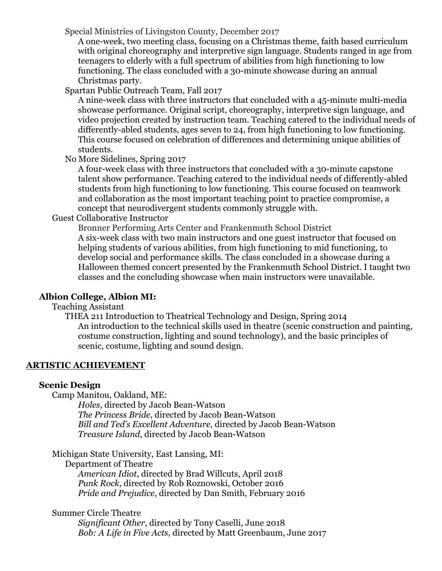Special Ministries of Livingston County, December 2017

A one-week, two meeting class, focusing on a Christmas theme, faith based curriculum with original choreography and interpretive sign language. Students ranged in age from teenagers to elderly with a full spectrum of abilities from high functioning to low functioning. The class concluded with a 30-minute showcase during an annual Christmas party.

Spartan Public Outreach Team, Fall 2017

A nine-week class with three instructors that concluded with a 45-minute multi-media showcase performance. Original script, choreography, interpretive sign language, and video projection created by instruction team. Teaching catered to the individual needs of differently-abled students, ages seven to 24, from high functioning to low functioning. This course focused on celebration of differences and determining unique abilities of students.

No More Sidelines, Spring 2017

A four-week class with three instructors that concluded with a 30-minute capstone talent show performance. Teaching catered to the individual needs of differently-abled students from high functioning to low functioning. This course focused on teamwork and collaboration as the most important teaching point to practice compromise, a concept that neurodivergent students commonly struggle with.

Guest Collaborative Instructor

Bronner Performing Arts Center and Frankenmuth School District A six-week class with two main instructors and one guest instructor that focused on helping students of various abilities, from high functioning to mid functioning, to develop social and performance skills. The class concluded in a showcase during a Halloween themed concert presented by the Frankenmuth School District. I taught two classes and the concluding showcase when main instructors were unavailable.

# **Albion College, Albion MI:**

Teaching Assistant

THEA 211 Introduction to Theatrical Technology and Design, Spring 2014 An introduction to the technical skills used in theatre (scenic construction and painting, costume construction, lighting and sound technology), and the basic principles of scenic, costume, lighting and sound design.

# **ARTISTIC ACHIEVEMENT**

#### **Scenic Design**

Camp Manitou, Oakland, ME:

*Holes*, directed by Jacob Bean-Watson *The Princess Bride*, directed by Jacob Bean-Watson *Bill and Ted's Excellent Adventure*, directed by Jacob Bean-Watson *Treasure Island*, directed by Jacob Bean-Watson

Michigan State University, East Lansing, MI:

Department of Theatre

*American Idiot*, directed by Brad Willcuts, April 2018 *Punk Rock*, directed by Rob Roznowski, October 2016 *Pride and Prejudice*, directed by Dan Smith, February 2016

# Summer Circle Theatre

*Significant Other*, directed by Tony Caselli, June 2018 *Bob: A Life in Five Acts*, directed by Matt Greenbaum, June 2017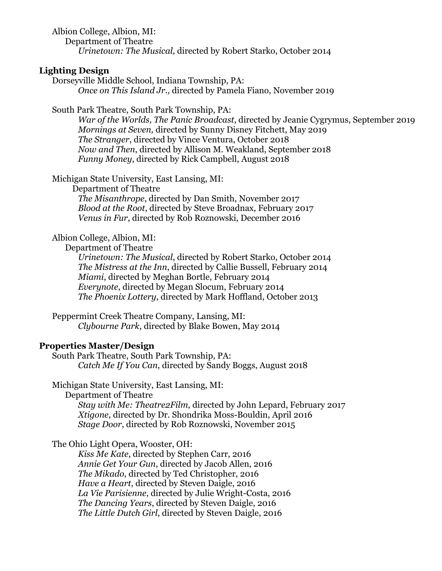Albion College, Albion, MI: Department of Theatre *Urinetown: The Musical,* directed by Robert Starko, October 2014

## **Lighting Design**

Dorseyville Middle School, Indiana Township, PA: *Once on This Island Jr.,* directed by Pamela Fiano, November 2019

South Park Theatre, South Park Township, PA:

*War of the Worlds, The Panic Broadcast*, directed by Jeanie Cygrymus, September 2019 *Mornings at Seven,* directed by Sunny Disney Fitchett, May 2019 *The Stranger*, directed by Vince Ventura, October 2018 *Now and Then*, directed by Allison M. Weakland, September 2018 *Funny Money*, directed by Rick Campbell, August 2018

Michigan State University, East Lansing, MI:

Department of Theatre

*The Misanthrope*, directed by Dan Smith, November 2017 *Blood at the Root*, directed by Steve Broadnax, February 2017 *Venus in Fur*, directed by Rob Roznowski, December 2016

## Albion College, Albion, MI:

Department of Theatre

*Urinetown: The Musical*, directed by Robert Starko, October 2014 *The Mistress at the Inn*, directed by Callie Bussell, February 2014 *Miami*, directed by Meghan Bortle, February 2014 *Everynote*, directed by Megan Slocum, February 2014 *The Phoenix Lottery*, directed by Mark Hoffland, October 2013

Peppermint Creek Theatre Company, Lansing, MI: *Clybourne Park*, directed by Blake Bowen, May 2014

#### **Properties Master/Design**

South Park Theatre, South Park Township, PA: *Catch Me If You Can*, directed by Sandy Boggs, August 2018

Michigan State University, East Lansing, MI:

Department of Theatre

*Stay with Me: Theatre2Film*, directed by John Lepard, February 2017 *Xtigone*, directed by Dr. Shondrika Moss-Bouldin, April 2016 *Stage Door*, directed by Rob Roznowski, November 2015

The Ohio Light Opera, Wooster, OH:

*Kiss Me Kate*, directed by Stephen Carr, 2016 *Annie Get Your Gun*, directed by Jacob Allen, 2016 *The Mikado*, directed by Ted Christopher, 2016 *Have a Heart*, directed by Steven Daigle, 2016 *La Vie Parisienne*, directed by Julie Wright-Costa, 2016 *The Dancing Years*, directed by Steven Daigle, 2016 *The Little Dutch Girl*, directed by Steven Daigle, 2016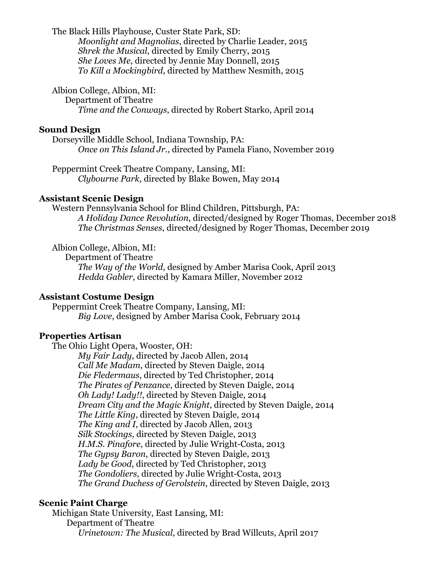The Black Hills Playhouse, Custer State Park, SD:

*Moonlight and Magnolias*, directed by Charlie Leader, 2015 *Shrek the Musical*, directed by Emily Cherry, 2015 *She Loves Me*, directed by Jennie May Donnell, 2015 *To Kill a Mockingbird*, directed by Matthew Nesmith, 2015

Albion College, Albion, MI:

Department of Theatre *Time and the Conways*, directed by Robert Starko, April 2014

## **Sound Design**

Dorseyville Middle School, Indiana Township, PA: *Once on This Island Jr.,* directed by Pamela Fiano, November 2019

Peppermint Creek Theatre Company, Lansing, MI: *Clybourne Park*, directed by Blake Bowen, May 2014

## **Assistant Scenic Design**

Western Pennsylvania School for Blind Children, Pittsburgh, PA: *A Holiday Dance Revolution*, directed/designed by Roger Thomas, December 2018 *The Christmas Senses*, directed/designed by Roger Thomas, December 2019

Albion College, Albion, MI:

Department of Theatre *The Way of the World*, designed by Amber Marisa Cook, April 2013 *Hedda Gabler*, directed by Kamara Miller, November 2012

# **Assistant Costume Design**

Peppermint Creek Theatre Company, Lansing, MI: *Big Love*, designed by Amber Marisa Cook, February 2014

# **Properties Artisan**

The Ohio Light Opera, Wooster, OH:

*My Fair Lady*, directed by Jacob Allen, 2014 *Call Me Madam*, directed by Steven Daigle, 2014 *Die Fledermaus*, directed by Ted Christopher, 2014 *The Pirates of Penzance*, directed by Steven Daigle, 2014 *Oh Lady! Lady!!*, directed by Steven Daigle, 2014 *Dream City and the Magic Knight*, directed by Steven Daigle, 2014 *The Little King*, directed by Steven Daigle, 2014 *The King and I*, directed by Jacob Allen, 2013 *Silk Stockings*, directed by Steven Daigle, 2013 *H.M.S. Pinafore*, directed by Julie Wright-Costa, 2013 *The Gypsy Baron*, directed by Steven Daigle, 2013 *Lady be Good*, directed by Ted Christopher, 2013 *The Gondoliers*, directed by Julie Wright-Costa, 2013 *The Grand Duchess of Gerolstein*, directed by Steven Daigle, 2013

# **Scenic Paint Charge**

Michigan State University, East Lansing, MI: Department of Theatre *Urinetown: The Musical,* directed by Brad Willcuts, April 2017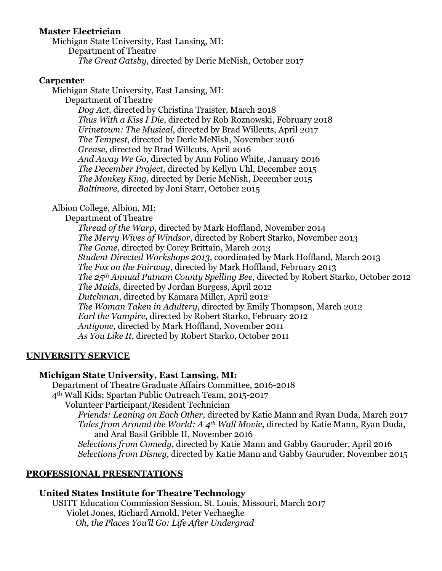# **Master Electrician**

Michigan State University, East Lansing, MI: Department of Theatre *The Great Gatsby*, directed by Deric McNish, October 2017

# **Carpenter**

Michigan State University, East Lansing, MI:

Department of Theatre

*Dog Act*, directed by Christina Traister, March 2018 *Thus With a Kiss I Die*, directed by Rob Roznowski, February 2018 *Urinetown: The Musical*, directed by Brad Willcuts, April 2017 *The Tempest*, directed by Deric McNish, November 2016 *Grease*, directed by Brad Willcuts, April 2016 *And Away We Go*, directed by Ann Folino White, January 2016 *The December Project*, directed by Kellyn Uhl, December 2015 *The Monkey King*, directed by Deric McNish, December 2015 *Baltimore*, directed by Joni Starr, October 2015

# Albion College, Albion, MI:

Department of Theatre

*Thread of the Warp*, directed by Mark Hoffland, November 2014 *The Merry Wives of Windsor*, directed by Robert Starko, November 2013 *The Game*, directed by Corey Brittain, March 2013 *Student Directed Workshops 2013*, coordinated by Mark Hoffland, March 2013 *The Fox on the Fairway*, directed by Mark Hoffland, February 2013 *The 25th Annual Putnam County Spelling Bee*, directed by Robert Starko, October 2012 *The Maids*, directed by Jordan Burgess, April 2012 *Dutchman*, directed by Kamara Miller, April 2012 *The Woman Taken in Adultery*, directed by Emily Thompson, March 2012 *Earl the Vampire*, directed by Robert Starko, February 2012 *Antigone*, directed by Mark Hoffland, November 2011 *As You Like It*, directed by Robert Starko, October 2011

# **UNIVERSITY SERVICE**

# **Michigan State University, East Lansing, MI:**

Department of Theatre Graduate Affairs Committee, 2016-2018 4th Wall Kids; Spartan Public Outreach Team, 2015-2017

Volunteer Participant/Resident Technician

*Friends: Leaning on Each Other*, directed by Katie Mann and Ryan Duda, March 2017 *Tales from Around the World: A 4th Wall Movie*, directed by Katie Mann, Ryan Duda, and Aral Basil Gribble II, November 2016

*Selections from Comedy*, directed by Katie Mann and Gabby Gauruder, April 2016 *Selections from Disney*, directed by Katie Mann and Gabby Gauruder, November 2015

# **PROFESSIONAL PRESENTATIONS**

# **United States Institute for Theatre Technology**

USITT Education Commission Session, St. Louis, Missouri, March 2017 Violet Jones, Richard Arnold, Peter Verhaeghe *Oh, the Places You'll Go: Life After Undergrad*